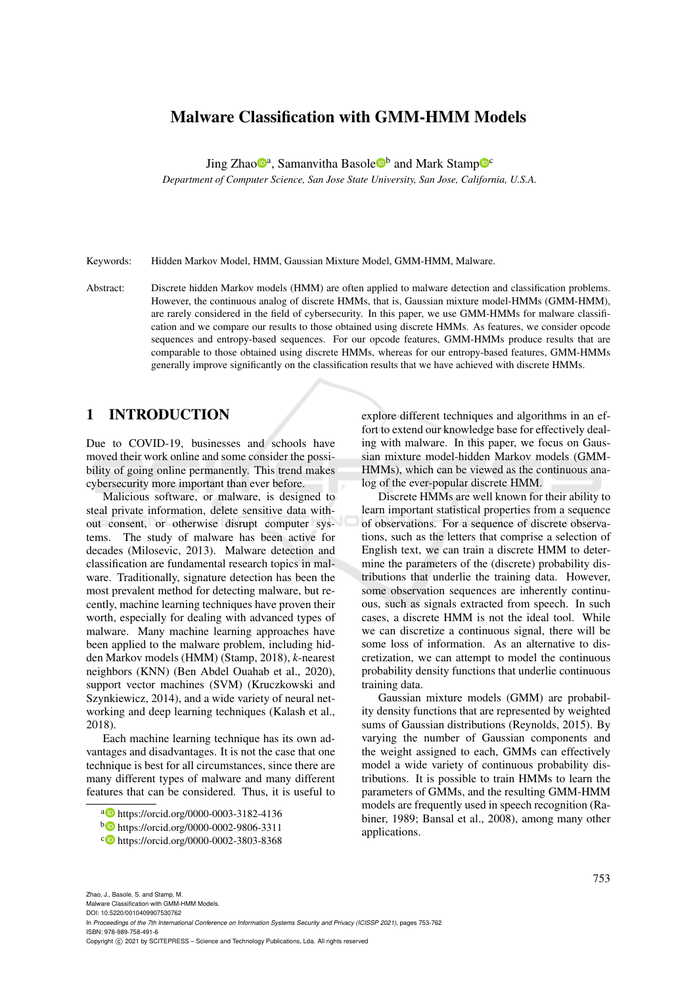# Malware Classification with GMM-HMM Models

Jing Zhao<sup>n</sup>, Samanvitha Basole<sup>n and</sup> Mark Stamp<sup>n</sup><sup>c</sup>

*Department of Computer Science, San Jose State University, San Jose, California, U.S.A.*

Keywords: Hidden Markov Model, HMM, Gaussian Mixture Model, GMM-HMM, Malware.

Abstract: Discrete hidden Markov models (HMM) are often applied to malware detection and classification problems. However, the continuous analog of discrete HMMs, that is, Gaussian mixture model-HMMs (GMM-HMM), are rarely considered in the field of cybersecurity. In this paper, we use GMM-HMMs for malware classification and we compare our results to those obtained using discrete HMMs. As features, we consider opcode sequences and entropy-based sequences. For our opcode features, GMM-HMMs produce results that are comparable to those obtained using discrete HMMs, whereas for our entropy-based features, GMM-HMMs generally improve significantly on the classification results that we have achieved with discrete HMMs.

## 1 INTRODUCTION

Due to COVID-19, businesses and schools have moved their work online and some consider the possibility of going online permanently. This trend makes cybersecurity more important than ever before.

Malicious software, or malware, is designed to steal private information, delete sensitive data without consent, or otherwise disrupt computer systems. The study of malware has been active for decades (Milosevic, 2013). Malware detection and classification are fundamental research topics in malware. Traditionally, signature detection has been the most prevalent method for detecting malware, but recently, machine learning techniques have proven their worth, especially for dealing with advanced types of malware. Many machine learning approaches have been applied to the malware problem, including hidden Markov models (HMM) (Stamp, 2018), *k*-nearest neighbors (KNN) (Ben Abdel Ouahab et al., 2020), support vector machines (SVM) (Kruczkowski and Szynkiewicz, 2014), and a wide variety of neural networking and deep learning techniques (Kalash et al., 2018).

Each machine learning technique has its own advantages and disadvantages. It is not the case that one technique is best for all circumstances, since there are many different types of malware and many different features that can be considered. Thus, it is useful to

explore different techniques and algorithms in an effort to extend our knowledge base for effectively dealing with malware. In this paper, we focus on Gaussian mixture model-hidden Markov models (GMM-HMMs), which can be viewed as the continuous analog of the ever-popular discrete HMM.

Discrete HMMs are well known for their ability to learn important statistical properties from a sequence of observations. For a sequence of discrete observations, such as the letters that comprise a selection of English text, we can train a discrete HMM to determine the parameters of the (discrete) probability distributions that underlie the training data. However, some observation sequences are inherently continuous, such as signals extracted from speech. In such cases, a discrete HMM is not the ideal tool. While we can discretize a continuous signal, there will be some loss of information. As an alternative to discretization, we can attempt to model the continuous probability density functions that underlie continuous training data.

Gaussian mixture models (GMM) are probability density functions that are represented by weighted sums of Gaussian distributions (Reynolds, 2015). By varying the number of Gaussian components and the weight assigned to each, GMMs can effectively model a wide variety of continuous probability distributions. It is possible to train HMMs to learn the parameters of GMMs, and the resulting GMM-HMM models are frequently used in speech recognition (Rabiner, 1989; Bansal et al., 2008), among many other applications.

<sup>a</sup> https://orcid.org/0000-0003-3182-4136

<sup>b</sup> https://orcid.org/0000-0002-9806-3311

<sup>c</sup> https://orcid.org/0000-0002-3803-8368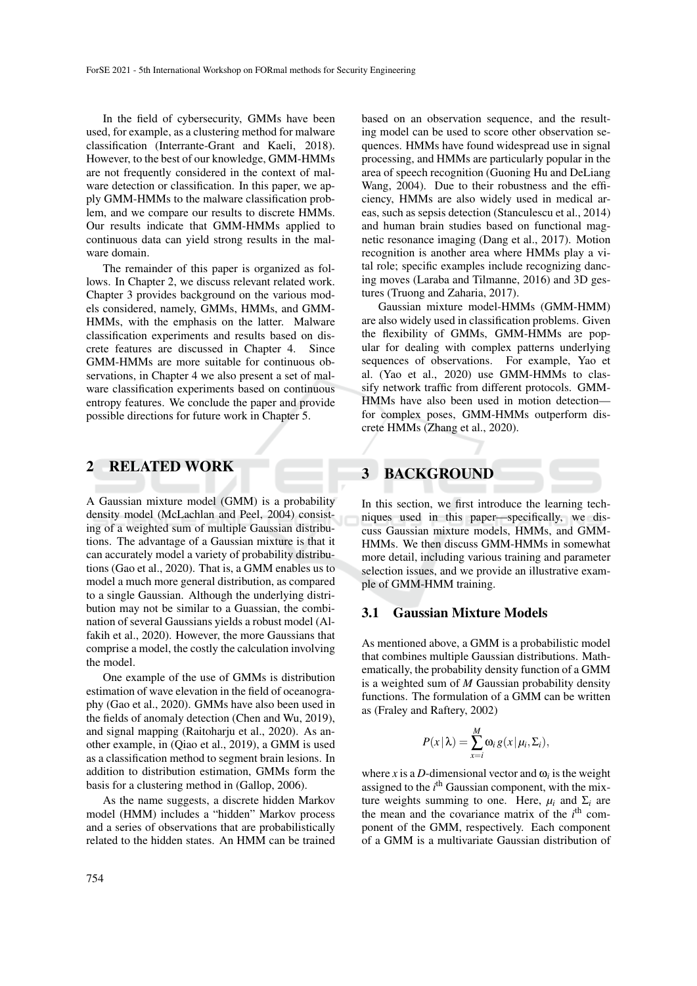In the field of cybersecurity, GMMs have been used, for example, as a clustering method for malware classification (Interrante-Grant and Kaeli, 2018). However, to the best of our knowledge, GMM-HMMs are not frequently considered in the context of malware detection or classification. In this paper, we apply GMM-HMMs to the malware classification problem, and we compare our results to discrete HMMs. Our results indicate that GMM-HMMs applied to continuous data can yield strong results in the malware domain.

The remainder of this paper is organized as follows. In Chapter 2, we discuss relevant related work. Chapter 3 provides background on the various models considered, namely, GMMs, HMMs, and GMM-HMMs, with the emphasis on the latter. Malware classification experiments and results based on discrete features are discussed in Chapter 4. Since GMM-HMMs are more suitable for continuous observations, in Chapter 4 we also present a set of malware classification experiments based on continuous entropy features. We conclude the paper and provide possible directions for future work in Chapter 5.

### 2 RELATED WORK

A Gaussian mixture model (GMM) is a probability density model (McLachlan and Peel, 2004) consisting of a weighted sum of multiple Gaussian distributions. The advantage of a Gaussian mixture is that it can accurately model a variety of probability distributions (Gao et al., 2020). That is, a GMM enables us to model a much more general distribution, as compared to a single Gaussian. Although the underlying distribution may not be similar to a Guassian, the combination of several Gaussians yields a robust model (Alfakih et al., 2020). However, the more Gaussians that comprise a model, the costly the calculation involving the model.

One example of the use of GMMs is distribution estimation of wave elevation in the field of oceanography (Gao et al., 2020). GMMs have also been used in the fields of anomaly detection (Chen and Wu, 2019), and signal mapping (Raitoharju et al., 2020). As another example, in (Qiao et al., 2019), a GMM is used as a classification method to segment brain lesions. In addition to distribution estimation, GMMs form the basis for a clustering method in (Gallop, 2006).

As the name suggests, a discrete hidden Markov model (HMM) includes a "hidden" Markov process and a series of observations that are probabilistically related to the hidden states. An HMM can be trained based on an observation sequence, and the resulting model can be used to score other observation sequences. HMMs have found widespread use in signal processing, and HMMs are particularly popular in the area of speech recognition (Guoning Hu and DeLiang Wang, 2004). Due to their robustness and the efficiency, HMMs are also widely used in medical areas, such as sepsis detection (Stanculescu et al., 2014) and human brain studies based on functional magnetic resonance imaging (Dang et al., 2017). Motion recognition is another area where HMMs play a vital role; specific examples include recognizing dancing moves (Laraba and Tilmanne, 2016) and 3D gestures (Truong and Zaharia, 2017).

Gaussian mixture model-HMMs (GMM-HMM) are also widely used in classification problems. Given the flexibility of GMMs, GMM-HMMs are popular for dealing with complex patterns underlying sequences of observations. For example, Yao et al. (Yao et al., 2020) use GMM-HMMs to classify network traffic from different protocols. GMM-HMMs have also been used in motion detection for complex poses, GMM-HMMs outperform discrete HMMs (Zhang et al., 2020).

## **BACKGROUND**

In this section, we first introduce the learning techniques used in this paper—specifically, we discuss Gaussian mixture models, HMMs, and GMM-HMMs. We then discuss GMM-HMMs in somewhat more detail, including various training and parameter selection issues, and we provide an illustrative example of GMM-HMM training.

### 3.1 Gaussian Mixture Models

As mentioned above, a GMM is a probabilistic model that combines multiple Gaussian distributions. Mathematically, the probability density function of a GMM is a weighted sum of *M* Gaussian probability density functions. The formulation of a GMM can be written as (Fraley and Raftery, 2002)

$$
P(x | \lambda) = \sum_{x=i}^{M} \omega_i g(x | \mu_i, \Sigma_i),
$$

where *x* is a *D*-dimensional vector and  $\omega_i$  is the weight assigned to the *i*<sup>th</sup> Gaussian component, with the mixture weights summing to one. Here,  $\mu_i$  and  $\Sigma_i$  are the mean and the covariance matrix of the  $i<sup>th</sup>$  component of the GMM, respectively. Each component of a GMM is a multivariate Gaussian distribution of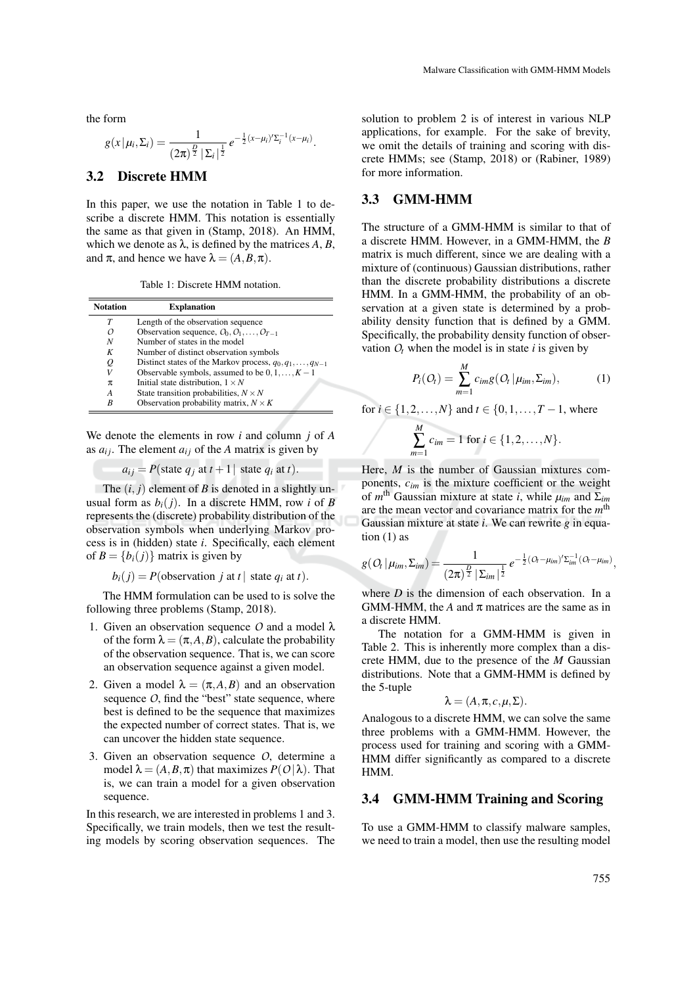the form

$$
g(x|\mu_i, \Sigma_i) = \frac{1}{(2\pi)^{\frac{D}{2}} |\Sigma_i|^{\frac{1}{2}}} e^{-\frac{1}{2}(x-\mu_i)'\Sigma_i^{-1}(x-\mu_i)}.
$$

### 3.2 Discrete HMM

In this paper, we use the notation in Table 1 to describe a discrete HMM. This notation is essentially the same as that given in (Stamp, 2018). An HMM, which we denote as  $\lambda$ , is defined by the matrices  $A, B$ , and  $\pi$ , and hence we have  $\lambda = (A, B, \pi)$ .

Table 1: Discrete HMM notation.

| <b>Notation</b> | <b>Explanation</b>                                                 |  |  |
|-----------------|--------------------------------------------------------------------|--|--|
| Т               | Length of the observation sequence                                 |  |  |
| 0               | Observation sequence, $O_0, O_1, \ldots, O_{T-1}$                  |  |  |
| Ν               | Number of states in the model                                      |  |  |
| K               | Number of distinct observation symbols                             |  |  |
| Q               | Distinct states of the Markov process, $q_0, q_1, \ldots, q_{N-1}$ |  |  |
| V               | Observable symbols, assumed to be $0, 1, , K-1$                    |  |  |
| π               | Initial state distribution, $1 \times N$                           |  |  |
| А               | State transition probabilities, $N \times N$                       |  |  |
| R               | Observation probability matrix, $N \times K$                       |  |  |

We denote the elements in row *i* and column *j* of *A* as  $a_{ij}$ . The element  $a_{ij}$  of the *A* matrix is given by

$$
a_{ij} = P(\text{state } q_j \text{ at } t+1 | \text{ state } q_i \text{ at } t).
$$

The  $(i, j)$  element of *B* is denoted in a slightly unusual form as  $b_i(j)$ . In a discrete HMM, row *i* of *B* represents the (discrete) probability distribution of the observation symbols when underlying Markov process is in (hidden) state *i*. Specifically, each element of  $B = \{b_i(j)\}\$  matrix is given by

 $b_i(i) = P(\text{observation } j \text{ at } t \mid \text{ state } q_i \text{ at } t).$ 

The HMM formulation can be used to is solve the following three problems (Stamp, 2018).

- 1. Given an observation sequence *O* and a model λ of the form  $\lambda = (\pi, A, B)$ , calculate the probability of the observation sequence. That is, we can score an observation sequence against a given model.
- 2. Given a model  $\lambda = (\pi, A, B)$  and an observation sequence  $O$ , find the "best" state sequence, where best is defined to be the sequence that maximizes the expected number of correct states. That is, we can uncover the hidden state sequence.
- 3. Given an observation sequence *O*, determine a model  $\lambda = (A, B, \pi)$  that maximizes  $P(O | \lambda)$ . That is, we can train a model for a given observation sequence.

In this research, we are interested in problems 1 and 3. Specifically, we train models, then we test the resulting models by scoring observation sequences. The solution to problem 2 is of interest in various NLP applications, for example. For the sake of brevity, we omit the details of training and scoring with discrete HMMs; see (Stamp, 2018) or (Rabiner, 1989) for more information.

## 3.3 GMM-HMM

The structure of a GMM-HMM is similar to that of a discrete HMM. However, in a GMM-HMM, the *B* matrix is much different, since we are dealing with a mixture of (continuous) Gaussian distributions, rather than the discrete probability distributions a discrete HMM. In a GMM-HMM, the probability of an observation at a given state is determined by a probability density function that is defined by a GMM. Specifically, the probability density function of observation  $O_t$  when the model is in state *i* is given by

$$
P_i(Q_t) = \sum_{m=1}^{M} c_{im}g(Q_t | \mu_{im}, \Sigma_{im}), \qquad (1)
$$

for  $i \in \{1, 2, ..., N\}$  and  $t \in \{0, 1, ..., T - 1\}$ , where

$$
\sum_{m=1}^{M} c_{im} = 1 \text{ for } i \in \{1, 2, ..., N\}.
$$

Here, *M* is the number of Gaussian mixtures components, *cim* is the mixture coefficient or the weight of  $m^{\text{th}}$  Gaussian mixture at state *i*, while  $\mu_{im}$  and  $\Sigma_{im}$ are the mean vector and covariance matrix for the *m* th Gaussian mixture at state *i*. We can rewrite *g* in equation  $(1)$  as

$$
g(O_t | \mu_{im}, \Sigma_{im}) = \frac{1}{(2\pi)^{\frac{D}{2}} |\Sigma_{im}|^{\frac{1}{2}}} e^{-\frac{1}{2}(O_t - \mu_{im})' \Sigma_{im}^{-1}(O_t - \mu_{im})},
$$

where *D* is the dimension of each observation. In a GMM-HMM, the  $A$  and  $\pi$  matrices are the same as in a discrete HMM.

The notation for a GMM-HMM is given in Table 2. This is inherently more complex than a discrete HMM, due to the presence of the *M* Gaussian distributions. Note that a GMM-HMM is defined by the 5-tuple

$$
\lambda = (A, \pi, c, \mu, \Sigma).
$$

Analogous to a discrete HMM, we can solve the same three problems with a GMM-HMM. However, the process used for training and scoring with a GMM-HMM differ significantly as compared to a discrete HMM.

## 3.4 GMM-HMM Training and Scoring

To use a GMM-HMM to classify malware samples, we need to train a model, then use the resulting model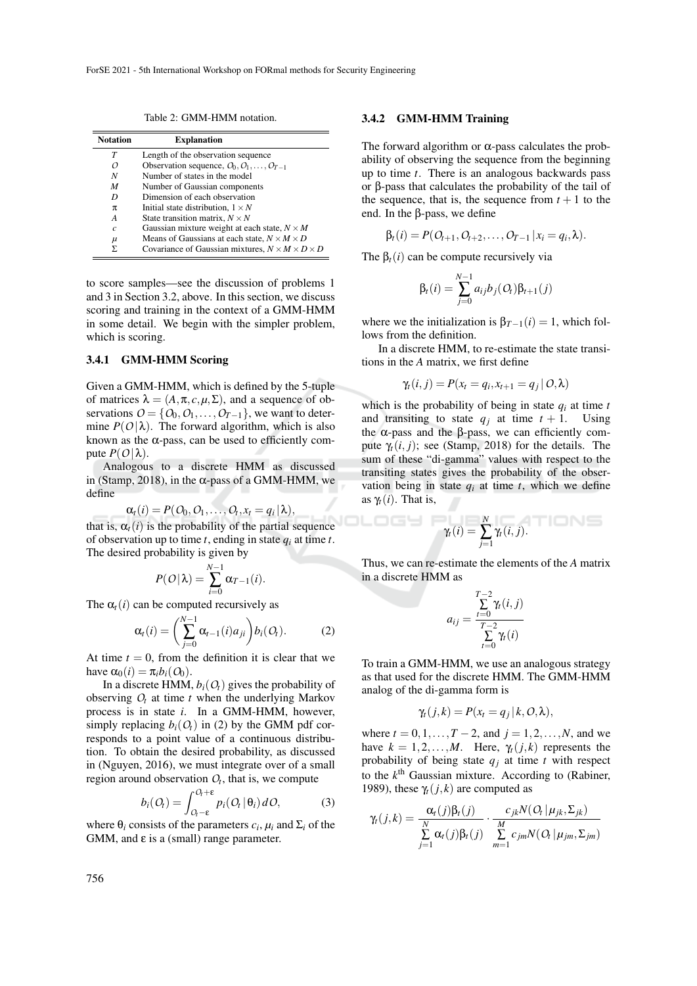Table 2: GMM-HMM notation.

| <b>Notation</b>       | <b>Explanation</b>                                              |  |
|-----------------------|-----------------------------------------------------------------|--|
| T                     | Length of the observation sequence                              |  |
| 0                     | Observation sequence, $O_0, O_1, \ldots, O_{T-1}$               |  |
| N                     | Number of states in the model                                   |  |
| M                     | Number of Gaussian components                                   |  |
| D                     | Dimension of each observation                                   |  |
| π                     | Initial state distribution, $1 \times N$                        |  |
| A                     | State transition matrix, $N \times N$                           |  |
| $\mathcal{C}_{0}^{2}$ | Gaussian mixture weight at each state, $N \times M$             |  |
| μ                     | Means of Gaussians at each state, $N \times M \times D$         |  |
| Σ.                    | Covariance of Gaussian mixtures, $N \times M \times D \times D$ |  |

to score samples—see the discussion of problems 1 and 3 in Section 3.2, above. In this section, we discuss scoring and training in the context of a GMM-HMM in some detail. We begin with the simpler problem, which is scoring.

#### 3.4.1 GMM-HMM Scoring

Given a GMM-HMM, which is defined by the 5-tuple of matrices  $\lambda = (A, \pi, c, \mu, \Sigma)$ , and a sequence of observations  $O = \{O_0, O_1, \ldots, O_{T-1}\}\,$ , we want to determine  $P(O | \lambda)$ . The forward algorithm, which is also known as the  $\alpha$ -pass, can be used to efficiently compute  $P(O | \lambda)$ .

Analogous to a discrete HMM as discussed in (Stamp, 2018), in the  $\alpha$ -pass of a GMM-HMM, we define

$$
\alpha_t(i) = P(O_0, O_1, \ldots, O_t, x_t = q_i | \lambda),
$$

that is,  $\alpha_i(i)$  is the probability of the partial sequence of observation up to time *t*, ending in state *q<sup>i</sup>* at time *t*. The desired probability is given by

$$
P(O|\lambda) = \sum_{i=0}^{N-1} \alpha_{T-1}(i).
$$

The  $\alpha_t(i)$  can be computed recursively as

$$
\alpha_t(i) = \left(\sum_{j=0}^{N-1} \alpha_{t-1}(i) a_{ji}\right) b_i(O_t).
$$
 (2)

At time  $t = 0$ , from the definition it is clear that we have  $\alpha_0(i) = \pi_i b_i(O_0)$ .

In a discrete HMM,  $b_i$ ( $O_t$ ) gives the probability of observing  $O_t$  at time  $t$  when the underlying Markov process is in state *i*. In a GMM-HMM, however, simply replacing  $b_i$ ( $O_t$ ) in (2) by the GMM pdf corresponds to a point value of a continuous distribution. To obtain the desired probability, as discussed in (Nguyen, 2016), we must integrate over of a small region around observation  $O_t$ , that is, we compute

$$
b_i(Q_t) = \int_{Q_t - \epsilon}^{Q_t + \epsilon} p_i(Q_t | \theta_i) dO,
$$
 (3)

where  $\theta_i$  consists of the parameters  $c_i$ ,  $\mu_i$  and  $\Sigma_i$  of the GMM, and  $\varepsilon$  is a (small) range parameter.

#### 3.4.2 GMM-HMM Training

The forward algorithm or  $\alpha$ -pass calculates the probability of observing the sequence from the beginning up to time *t*. There is an analogous backwards pass or β-pass that calculates the probability of the tail of the sequence, that is, the sequence from  $t + 1$  to the end. In the β-pass, we define

$$
\beta_t(i) = P(O_{t+1}, O_{t+2}, \ldots, O_{T-1} | x_i = q_i, \lambda).
$$

The  $\beta_t(i)$  can be compute recursively via

$$
\beta_t(i) = \sum_{j=0}^{N-1} a_{ij} b_j(O_t) \beta_{t+1}(j)
$$

where we the initialization is  $\beta_{T-1}(i) = 1$ , which follows from the definition.

In a discrete HMM, to re-estimate the state transitions in the *A* matrix, we first define

$$
\gamma_t(i,j) = P(x_t = q_i, x_{t+1} = q_j | O, \lambda)
$$

which is the probability of being in state  $q_i$  at time  $t$ and transiting to state  $q_i$  at time  $t + 1$ . Using the α-pass and the β-pass, we can efficiently compute  $\gamma_t(i, j)$ ; see (Stamp, 2018) for the details. The sum of these "di-gamma" values with respect to the transiting states gives the probability of the observation being in state  $q_i$  at time  $t$ , which we define as  $\gamma_t(i)$ . That is,

$$
\gamma_t(i) = \sum_{j=1}^N \gamma_t(i,j).
$$

Thus, we can re-estimate the elements of the *A* matrix in a discrete HMM as

ILOGY

$$
a_{ij} = \frac{\sum_{t=0}^{T-2} \gamma_t(i,j)}{\sum_{t=0}^{T-2} \gamma_t(i)}
$$

To train a GMM-HMM, we use an analogous strategy as that used for the discrete HMM. The GMM-HMM analog of the di-gamma form is

$$
\gamma_t(j,k) = P(x_t = q_j | k, O, \lambda),
$$

where  $t = 0, 1, \ldots, T-2$ , and  $j = 1, 2, \ldots, N$ , and we have  $k = 1, 2, ..., M$ . Here,  $\gamma_t(j, k)$  represents the probability of being state  $q_j$  at time  $t$  with respect to the  $k^{\text{th}}$  Gaussian mixture. According to (Rabiner, 1989), these  $\gamma_t(i,k)$  are computed as

$$
\gamma_t(j,k) = \frac{\alpha_t(j)\beta_t(j)}{\sum\limits_{j=1}^N \alpha_t(j)\beta_t(j)} \cdot \frac{c_{jk}N(Q_t|\mu_{jk},\Sigma_{jk})}{\sum\limits_{m=1}^M c_{jm}N(Q_t|\mu_{jm},\Sigma_{jm})}
$$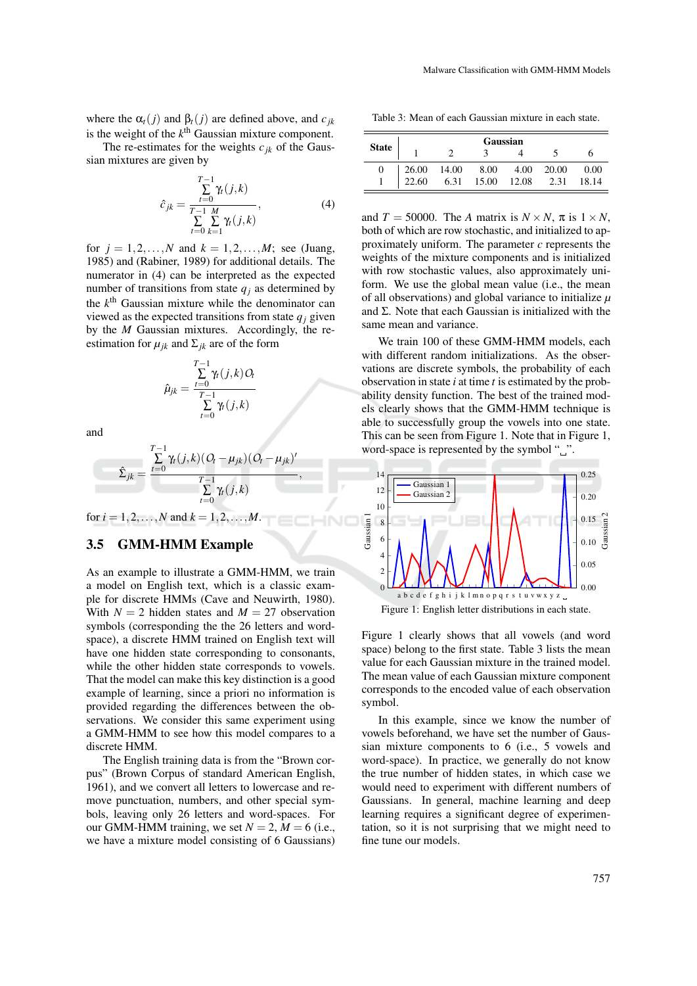where the  $\alpha_t(j)$  and  $\beta_t(j)$  are defined above, and  $c_{jk}$ is the weight of the  $k^{\text{th}}$  Gaussian mixture component.

The re-estimates for the weights  $c_{ik}$  of the Gaussian mixtures are given by

$$
\hat{c}_{jk} = \frac{\sum_{t=0}^{T-1} \gamma_t(j,k)}{\sum_{t=0}^{T-1} \sum_{k=1}^{M} \gamma_t(j,k)},
$$
\n(4)

for  $j = 1, 2, ..., N$  and  $k = 1, 2, ..., M$ ; see (Juang, 1985) and (Rabiner, 1989) for additional details. The numerator in (4) can be interpreted as the expected number of transitions from state  $q_i$  as determined by the *k*<sup>th</sup> Gaussian mixture while the denominator can viewed as the expected transitions from state  $q_i$  given by the *M* Gaussian mixtures. Accordingly, the reestimation for  $\mu_{ik}$  and  $\Sigma_{ik}$  are of the form

$$
\hat{\mu}_{jk} = \frac{\sum_{t=0}^{T-1} \gamma_t(j,k) O_t}{\sum_{t=0}^{T-1} \gamma_t(j,k)}
$$

and

$$
\hat{\Sigma}_{jk} = \frac{\sum_{t=0}^{T-1} \gamma_t(j,k) (O_t - \mu_{jk}) (O_t - \mu_{jk})'}{\sum_{t=0}^{T-1} \gamma_t(j,k)},
$$

for  $i = 1, 2, ..., N$  and  $k = 1, 2, ..., M$ .

### 3.5 GMM-HMM Example

As an example to illustrate a GMM-HMM, we train a model on English text, which is a classic example for discrete HMMs (Cave and Neuwirth, 1980). With  $N = 2$  hidden states and  $M = 27$  observation symbols (corresponding the the 26 letters and wordspace), a discrete HMM trained on English text will have one hidden state corresponding to consonants, while the other hidden state corresponds to vowels. That the model can make this key distinction is a good example of learning, since a priori no information is provided regarding the differences between the observations. We consider this same experiment using a GMM-HMM to see how this model compares to a discrete HMM.

The English training data is from the "Brown corpus" (Brown Corpus of standard American English, 1961), and we convert all letters to lowercase and remove punctuation, numbers, and other special symbols, leaving only 26 letters and word-spaces. For our GMM-HMM training, we set  $N = 2$ ,  $M = 6$  (i.e., we have a mixture model consisting of 6 Gaussians)

Table 3: Mean of each Gaussian mixture in each state.

| Gaussian     |       |       |            |       |       |       |
|--------------|-------|-------|------------|-------|-------|-------|
| <b>State</b> |       |       |            |       |       |       |
| 0            | 26.00 | 14.00 | 8.00       | 4.00  | 20.00 | 0.00  |
|              | 22.60 |       | 6.31 15.00 | 12.08 | 2.31  | 18.14 |

and  $T = 50000$ . The *A* matrix is  $N \times N$ ,  $\pi$  is  $1 \times N$ , both of which are row stochastic, and initialized to approximately uniform. The parameter *c* represents the weights of the mixture components and is initialized with row stochastic values, also approximately uniform. We use the global mean value (i.e., the mean of all observations) and global variance to initialize *µ* and  $\Sigma$ . Note that each Gaussian is initialized with the same mean and variance.

We train 100 of these GMM-HMM models, each with different random initializations. As the observations are discrete symbols, the probability of each observation in state *i* at time *t* is estimated by the probability density function. The best of the trained models clearly shows that the GMM-HMM technique is able to successfully group the vowels into one state. This can be seen from Figure 1. Note that in Figure 1, word-space is represented by the symbol " $\Box$ ".



Figure 1 clearly shows that all vowels (and word space) belong to the first state. Table 3 lists the mean value for each Gaussian mixture in the trained model. The mean value of each Gaussian mixture component corresponds to the encoded value of each observation symbol.

In this example, since we know the number of vowels beforehand, we have set the number of Gaussian mixture components to 6 (i.e., 5 vowels and word-space). In practice, we generally do not know the true number of hidden states, in which case we would need to experiment with different numbers of Gaussians. In general, machine learning and deep learning requires a significant degree of experimentation, so it is not surprising that we might need to fine tune our models.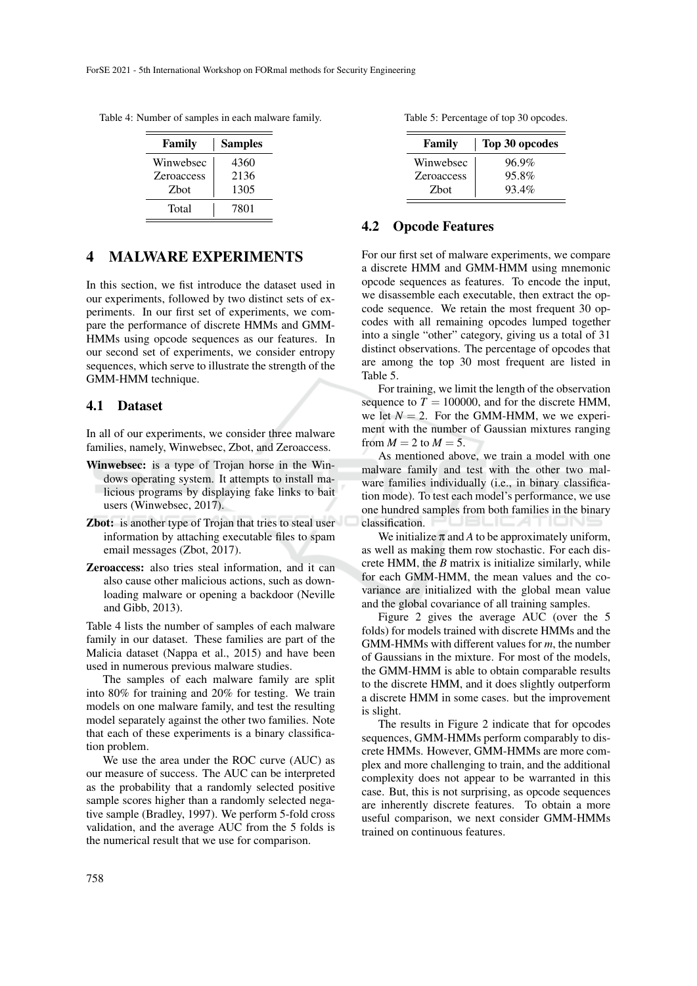Table 4: Number of samples in each malware family.

| Family            | <b>Samples</b> |  |
|-------------------|----------------|--|
| Winwebsec         | 4360           |  |
| <b>Zeroaccess</b> | 2136           |  |
| <b>Z</b> bot      | 1305           |  |
| Total             | 7801           |  |

### 4 MALWARE EXPERIMENTS

In this section, we fist introduce the dataset used in our experiments, followed by two distinct sets of experiments. In our first set of experiments, we compare the performance of discrete HMMs and GMM-HMMs using opcode sequences as our features. In our second set of experiments, we consider entropy sequences, which serve to illustrate the strength of the GMM-HMM technique.

### 4.1 Dataset

In all of our experiments, we consider three malware families, namely, Winwebsec, Zbot, and Zeroaccess.

- Winwebsec: is a type of Trojan horse in the Windows operating system. It attempts to install malicious programs by displaying fake links to bait users (Winwebsec, 2017).
- Zbot: is another type of Trojan that tries to steal user information by attaching executable files to spam email messages (Zbot, 2017).
- Zeroaccess: also tries steal information, and it can also cause other malicious actions, such as downloading malware or opening a backdoor (Neville and Gibb, 2013).

Table 4 lists the number of samples of each malware family in our dataset. These families are part of the Malicia dataset (Nappa et al., 2015) and have been used in numerous previous malware studies.

The samples of each malware family are split into 80% for training and 20% for testing. We train models on one malware family, and test the resulting model separately against the other two families. Note that each of these experiments is a binary classification problem.

We use the area under the ROC curve (AUC) as our measure of success. The AUC can be interpreted as the probability that a randomly selected positive sample scores higher than a randomly selected negative sample (Bradley, 1997). We perform 5-fold cross validation, and the average AUC from the 5 folds is the numerical result that we use for comparison.

| Family            | Top 30 opcodes |
|-------------------|----------------|
| Winwebsec         | 96.9%          |
| <b>Zeroaccess</b> | 95.8%          |
| <b>Z</b> bot      | 93.4%          |

#### 4.2 Opcode Features

For our first set of malware experiments, we compare a discrete HMM and GMM-HMM using mnemonic opcode sequences as features. To encode the input, we disassemble each executable, then extract the opcode sequence. We retain the most frequent 30 opcodes with all remaining opcodes lumped together into a single "other" category, giving us a total of 31 distinct observations. The percentage of opcodes that are among the top 30 most frequent are listed in Table 5.

For training, we limit the length of the observation sequence to  $T = 100000$ , and for the discrete HMM, we let  $N = 2$ . For the GMM-HMM, we we experiment with the number of Gaussian mixtures ranging from  $M = 2$  to  $M = 5$ .

As mentioned above, we train a model with one malware family and test with the other two malware families individually (i.e., in binary classification mode). To test each model's performance, we use one hundred samples from both families in the binary classification.

We initialize  $\pi$  and  $A$  to be approximately uniform, as well as making them row stochastic. For each discrete HMM, the *B* matrix is initialize similarly, while for each GMM-HMM, the mean values and the covariance are initialized with the global mean value and the global covariance of all training samples.

Figure 2 gives the average AUC (over the 5 folds) for models trained with discrete HMMs and the GMM-HMMs with different values for *m*, the number of Gaussians in the mixture. For most of the models, the GMM-HMM is able to obtain comparable results to the discrete HMM, and it does slightly outperform a discrete HMM in some cases. but the improvement is slight.

The results in Figure 2 indicate that for opcodes sequences, GMM-HMMs perform comparably to discrete HMMs. However, GMM-HMMs are more complex and more challenging to train, and the additional complexity does not appear to be warranted in this case. But, this is not surprising, as opcode sequences are inherently discrete features. To obtain a more useful comparison, we next consider GMM-HMMs trained on continuous features.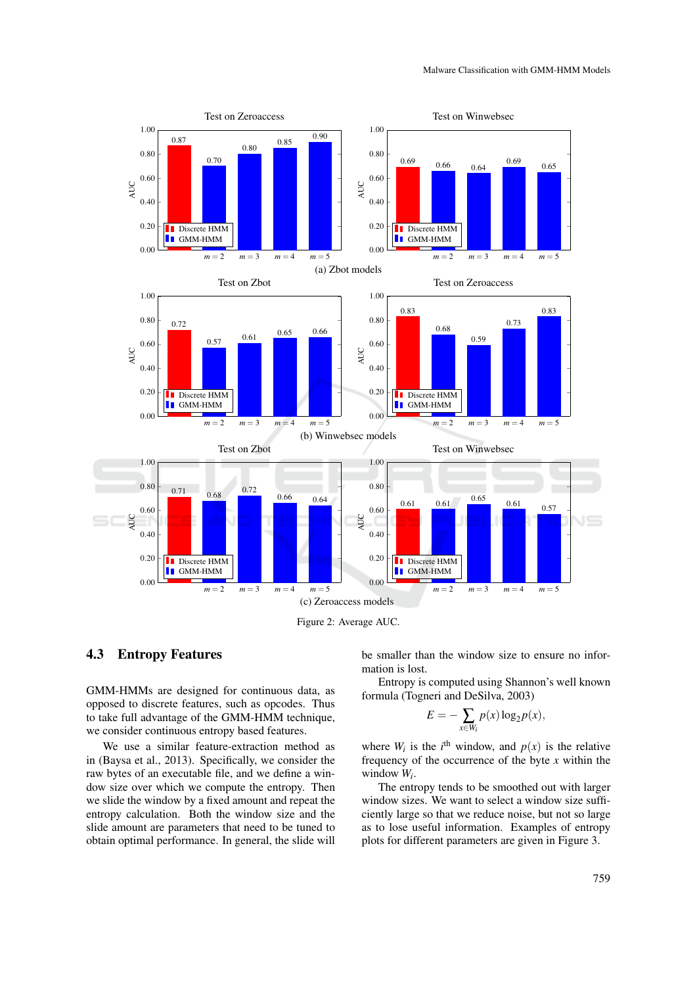

Figure 2: Average AUC.

## 4.3 Entropy Features

GMM-HMMs are designed for continuous data, as opposed to discrete features, such as opcodes. Thus to take full advantage of the GMM-HMM technique, we consider continuous entropy based features.

We use a similar feature-extraction method as in (Baysa et al., 2013). Specifically, we consider the raw bytes of an executable file, and we define a window size over which we compute the entropy. Then we slide the window by a fixed amount and repeat the entropy calculation. Both the window size and the slide amount are parameters that need to be tuned to obtain optimal performance. In general, the slide will

be smaller than the window size to ensure no information is lost.

Entropy is computed using Shannon's well known formula (Togneri and DeSilva, 2003)

$$
E = -\sum_{x \in W_i} p(x) \log_2 p(x),
$$

where  $W_i$  is the  $i^{\text{th}}$  window, and  $p(x)$  is the relative frequency of the occurrence of the byte *x* within the window *W<sup>i</sup>* .

The entropy tends to be smoothed out with larger window sizes. We want to select a window size sufficiently large so that we reduce noise, but not so large as to lose useful information. Examples of entropy plots for different parameters are given in Figure 3.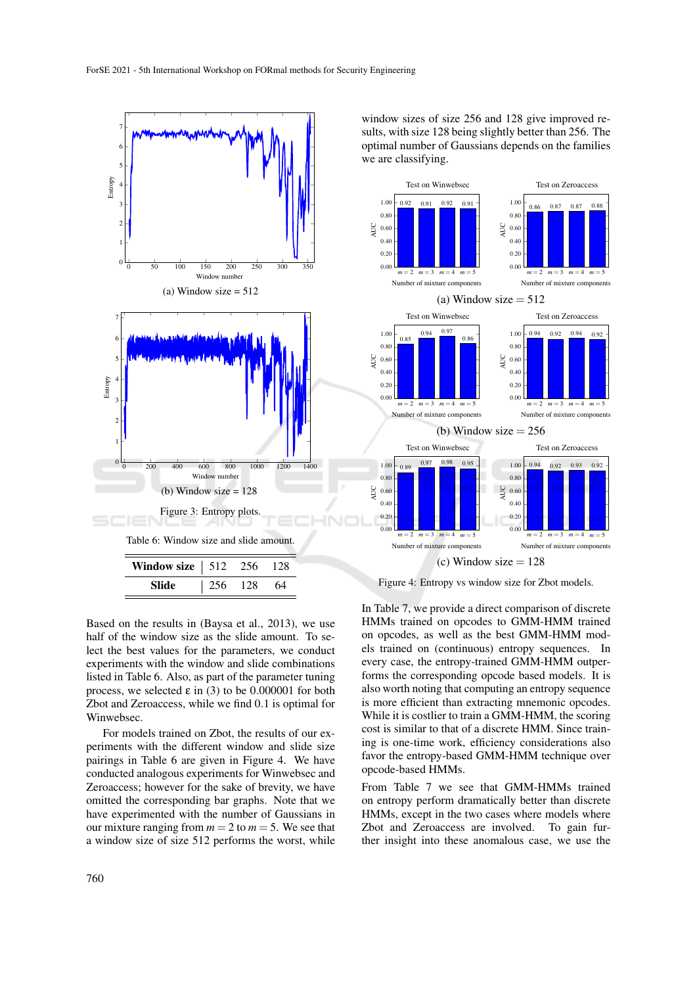

window sizes of size 256 and 128 give improved results, with size 128 being slightly better than 256. The optimal number of Gaussians depends on the families we are classifying.



Figure 4: Entropy vs window size for Zbot models.

In Table 7, we provide a direct comparison of discrete

Based on the results in (Baysa et al., 2013), we use half of the window size as the slide amount. To select the best values for the parameters, we conduct experiments with the window and slide combinations listed in Table 6. Also, as part of the parameter tuning process, we selected  $\epsilon$  in (3) to be 0.000001 for both Zbot and Zeroaccess, while we find 0.1 is optimal for Winwebsec.

For models trained on Zbot, the results of our experiments with the different window and slide size pairings in Table 6 are given in Figure 4. We have conducted analogous experiments for Winwebsec and Zeroaccess; however for the sake of brevity, we have omitted the corresponding bar graphs. Note that we have experimented with the number of Gaussians in our mixture ranging from  $m = 2$  to  $m = 5$ . We see that a window size of size 512 performs the worst, while

HMMs trained on opcodes to GMM-HMM trained on opcodes, as well as the best GMM-HMM models trained on (continuous) entropy sequences. In every case, the entropy-trained GMM-HMM outperforms the corresponding opcode based models. It is also worth noting that computing an entropy sequence is more efficient than extracting mnemonic opcodes. While it is costlier to train a GMM-HMM, the scoring cost is similar to that of a discrete HMM. Since training is one-time work, efficiency considerations also favor the entropy-based GMM-HMM technique over opcode-based HMMs.

From Table 7 we see that GMM-HMMs trained on entropy perform dramatically better than discrete HMMs, except in the two cases where models where Zbot and Zeroaccess are involved. To gain further insight into these anomalous case, we use the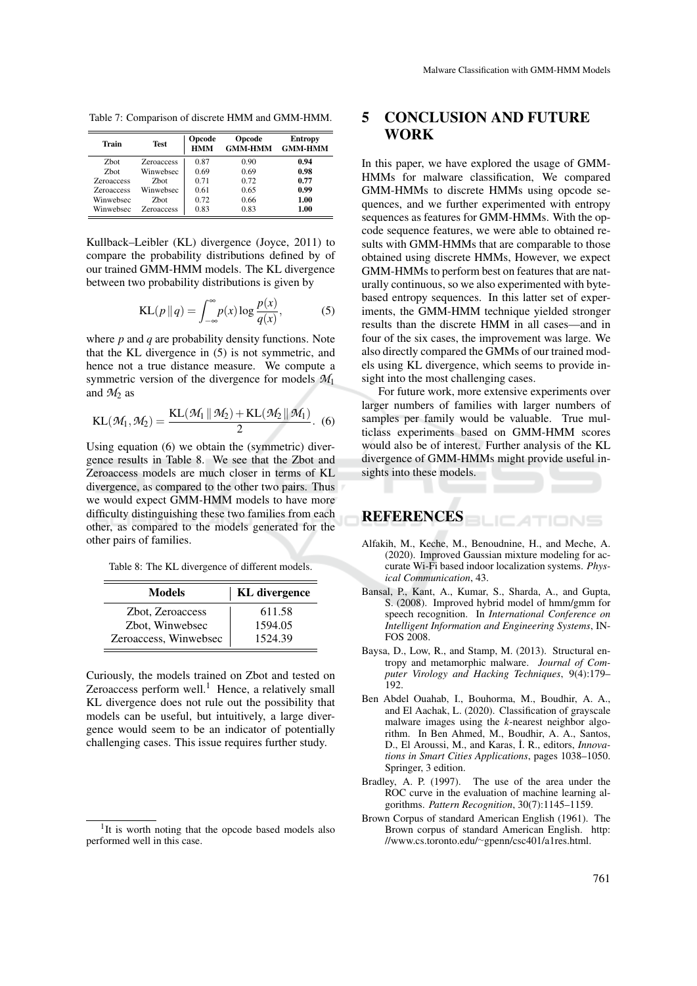Table 7: Comparison of discrete HMM and GMM-HMM.

| Train             | <b>Test</b>       | Opcode<br><b>HMM</b> | Opcode<br><b>GMM-HMM</b> | <b>Entropy</b><br><b>GMM-HMM</b> |
|-------------------|-------------------|----------------------|--------------------------|----------------------------------|
| Zbot.             | <b>Zeroaccess</b> | 0.87                 | 0.90                     | 0.94                             |
| Zhot              | Winwebsec         | 0.69                 | 0.69                     | 0.98                             |
| <b>Zeroaccess</b> | <b>Z</b> bot      | 0.71                 | 0.72                     | 0.77                             |
| <b>Zeroaccess</b> | Winwebsec         | 0.61                 | 0.65                     | 0.99                             |
| Winwebsec         | <b>Z</b> bot      | 0.72                 | 0.66                     | 1.00                             |
| Winwebsec         | <b>Zeroaccess</b> | 0.83                 | 0.83                     | 1.00                             |

Kullback–Leibler (KL) divergence (Joyce, 2011) to compare the probability distributions defined by of our trained GMM-HMM models. The KL divergence between two probability distributions is given by

$$
KL(p || q) = \int_{-\infty}^{\infty} p(x) \log \frac{p(x)}{q(x)},
$$
 (5)

where *p* and *q* are probability density functions. Note that the KL divergence in (5) is not symmetric, and hence not a true distance measure. We compute a symmetric version of the divergence for models *M*<sup>1</sup> and  $M_2$  as

$$
KL(\mathcal{M}_1, \mathcal{M}_2) = \frac{KL(\mathcal{M}_1 \parallel \mathcal{M}_2) + KL(\mathcal{M}_2 \parallel \mathcal{M}_1)}{2}.
$$
 (6)

Using equation (6) we obtain the (symmetric) divergence results in Table 8. We see that the Zbot and Zeroaccess models are much closer in terms of KL divergence, as compared to the other two pairs. Thus we would expect GMM-HMM models to have more difficulty distinguishing these two families from each other, as compared to the models generated for the other pairs of families.

Table 8: The KL divergence of different models.

| <b>KL</b> divergence |  |
|----------------------|--|
| 611.58               |  |
| 1594.05<br>1524.39   |  |
|                      |  |

Curiously, the models trained on Zbot and tested on Zeroaccess perform well.<sup>1</sup> Hence, a relatively small KL divergence does not rule out the possibility that models can be useful, but intuitively, a large divergence would seem to be an indicator of potentially challenging cases. This issue requires further study.

## 5 CONCLUSION AND FUTURE **WORK**

In this paper, we have explored the usage of GMM-HMMs for malware classification, We compared GMM-HMMs to discrete HMMs using opcode sequences, and we further experimented with entropy sequences as features for GMM-HMMs. With the opcode sequence features, we were able to obtained results with GMM-HMMs that are comparable to those obtained using discrete HMMs, However, we expect GMM-HMMs to perform best on features that are naturally continuous, so we also experimented with bytebased entropy sequences. In this latter set of experiments, the GMM-HMM technique yielded stronger results than the discrete HMM in all cases—and in four of the six cases, the improvement was large. We also directly compared the GMMs of our trained models using KL divergence, which seems to provide insight into the most challenging cases.

For future work, more extensive experiments over larger numbers of families with larger numbers of samples per family would be valuable. True multiclass experiments based on GMM-HMM scores would also be of interest. Further analysis of the KL divergence of GMM-HMMs might provide useful insights into these models.

REFERENCES

Alfakih, M., Keche, M., Benoudnine, H., and Meche, A. (2020). Improved Gaussian mixture modeling for accurate Wi-Fi based indoor localization systems. *Physical Communication*, 43.

ATIONS

- Bansal, P., Kant, A., Kumar, S., Sharda, A., and Gupta, S. (2008). Improved hybrid model of hmm/gmm for speech recognition. In *International Conference on Intelligent Information and Engineering Systems*, IN-FOS 2008.
- Baysa, D., Low, R., and Stamp, M. (2013). Structural entropy and metamorphic malware. *Journal of Computer Virology and Hacking Techniques*, 9(4):179– 192.
- Ben Abdel Ouahab, I., Bouhorma, M., Boudhir, A. A., and El Aachak, L. (2020). Classification of grayscale malware images using the *k*-nearest neighbor algorithm. In Ben Ahmed, M., Boudhir, A. A., Santos, D., El Aroussi, M., and Karas, İ. R., editors, *Innovations in Smart Cities Applications*, pages 1038–1050. Springer, 3 edition.
- Bradley, A. P. (1997). The use of the area under the ROC curve in the evaluation of machine learning algorithms. *Pattern Recognition*, 30(7):1145–1159.
- Brown Corpus of standard American English (1961). The Brown corpus of standard American English. http: //www.cs.toronto.edu/∼gpenn/csc401/a1res.html.

<sup>&</sup>lt;sup>1</sup>It is worth noting that the opcode based models also performed well in this case.